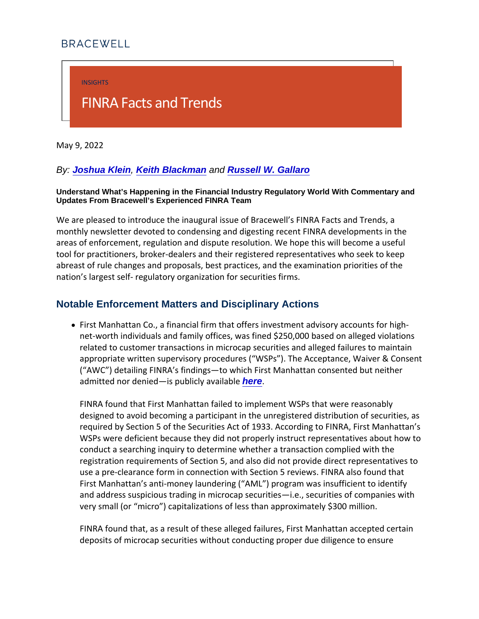INSIGHTS

## FINRA Facts and Trends

May 9, 2022

By: [Joshua Klein](https://bracewell.com/people/joshua-klein) , [Keith Blackman](https://bracewell.com/people/keith-blackman) and [Russell W. Gallaro](https://bracewell.com/people/russell-w-gallaro)

Understand What's Happening in the Financial Industry Regulatory World With Commentary and Updates From Bracewell's Experienced FINRA Team

We are pleased to introduce the inaugural issue of Bracewell s monthly newsletter devoted to condensing and digesting recent areas of enforcement, regulation and dispute resolution. We ho tool for practitioners, broker-dealers and their registered repre abreast of rule changes and proposals, best practices, and the nation s largest self- regulatory organization for securities firm

Notable Enforcement Matters and Disciplinary Actions

• First Manhattan Co., a financial firm that offers investment net-worth individuals and family offices, was fined \$250,00 related to customer transactions in microcap securities and appropriate written supervisory procedures ( WSPs ). The A ( AWC ) detailing FINRA s findings to which First Manhattan admitted nor denied is phebelicly available

FINRA found that First Manhattan failed to implement WSPs designed to avoid becoming a participant in the unregistere required by Section 5 of the Securities Act of 1933. Accord WSPs were deficient because they did not properly instruct conduct a searching inquiry to determine whether a transac registration requirements of Section 5, and also did not pro use a pre-clearance form in connection with Section 5 revie First Manhattan s anti-money laundering (AML) program w and address suspicious trading in microcap securities i.e., very small (or micro) capitalizations of less than approxin

FINRA found that, as a result of these alleged failures, Fir deposits of microcap securities without conducting proper d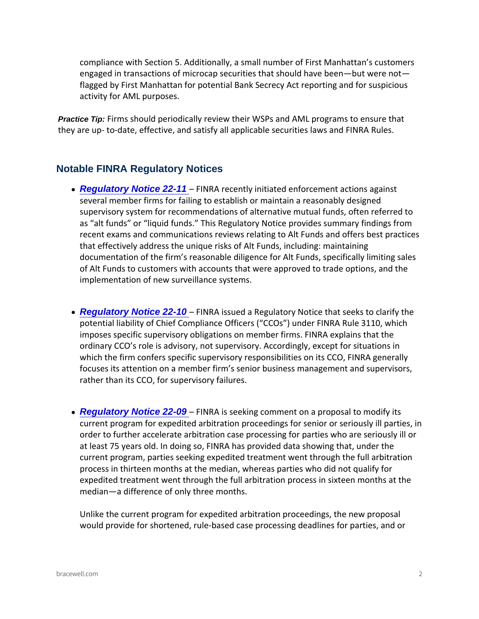compliance with Section 5. Additionally, a small number of engaged in transactions of microcap securities that should flagged by First Manhattan for potential Bank Secrecy Act r activity for AML purposes.

Practice Tip: Firms should periodically review their WSPs and AML p they are up- to-date, effective, and satisfy all applicable secu

## Notable FINRA Regulatory Notices

- [Regulatory Notice 22-11](https://www.finra.org/rules-guidance/notices/22-11)  FINRA recently initiated enforcement acti several member firms for failing to establish or maintain a supervisory system for recommendations of alternative muti as alt funds or liquid funds. This Regulatory Notice prov recent exams and communications reviews relating to Alt Funds that effectively address the unique risks of Alt Funds, inclu documentation of the firm s reasonable diligence for Alt Fu of Alt Funds to customers with accounts that were approved implementation of new surveillance systems.
- [Regulatory Notice 22-10](https://www.finra.org/rules-guidance/notices/22-10) FINRA issued a Regulatory Notice that se potential liability of Chief Compliance Officers ( CCOs ) un imposes specific supervisory obligations on member firms. ordinary CCO s role is advisory, not supervisory. According which the firm confers specific supervisory responsibilities focuses its attention on a member firm s senior business m rather than its CCO, for supervisory failures.
- [Regulatory Notice 22-09](https://www.finra.org/rules-guidance/notices/22-09)  FINRA is seeking comment on a proposal current program for expedited arbitration proceedings for s order to further accelerate arbitration case processing for at least 75 years old. In doing so, FINRA has provided data current program, parties seeking expedited treatment went process in thirteen months at the median, whereas parties expedited treatment went through the full arbitration proces median a difference of only three months.

Unlike the current program for expedited arbitration procee would provide for shortened, rule-based case processing de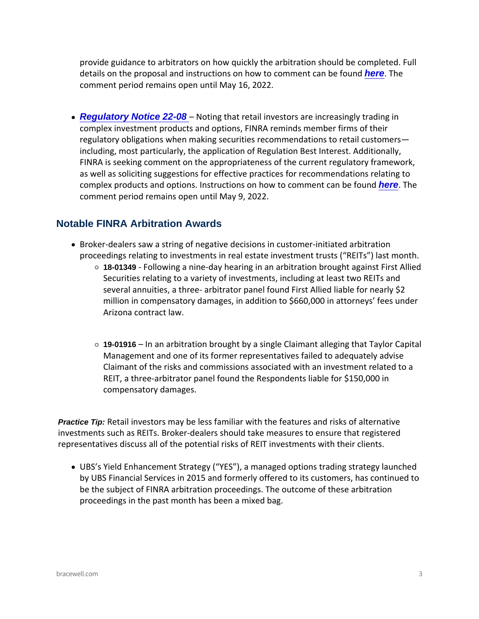provide guidance to arbitrators on how quickly the arbitrati details on the proposal and instructions omer heawThe comment comment period remains open until May 16, 2022.

• [Regulatory Notice 22-08](https://www.finra.org/rules-guidance/notices/22-08) Noting that retail investors are increasing complex investment products and options, FINRA reminds m regulatory obligations when making securities recommendat including, most particularly, the application of Regulation B FINRA is seeking comment on the appropriateness of the cu as well as soliciting suggestions for effective practices for complex products and options. Instructions c[here](https://www.finra.org/rules-guidance/notices/22-08)no wheo comm comment period remains open until May 9, 2022.

## Notable FINRA Arbitration Awards

- Broker-dealers saw a string of negative decisions in customer-initiated arbitration proceedings relating to investments in real estate investme  $\circ$  18-01349 - Following a nine-day hearing in an arbitration br Securities relating to a variety of investments, includin several annuities, a three- arbitrator panel found First million in compensatory damages, in addition to \$660,00 Arizona contract law.
	- o 19-01916 In an arbitration brought by a single Claimant all Management and one of its former representatives failed Claimant of the risks and commissions associated with a REIT, a three-arbitrator panel found the Respondents liable compensatory damages.

Practice Tip: Retail investors may be less familiar with the features investments such as REITs. Broker-dealers should take measur representatives discuss all of the potential risks of REIT inves

• UBS s Yield Enhancement Strategy (YES), a managed opti by UBS Financial Services in 2015 and formerly offered to its be the subject of FINRA arbitration proceedings. The outco proceedings in the past month has been a mixed bag.